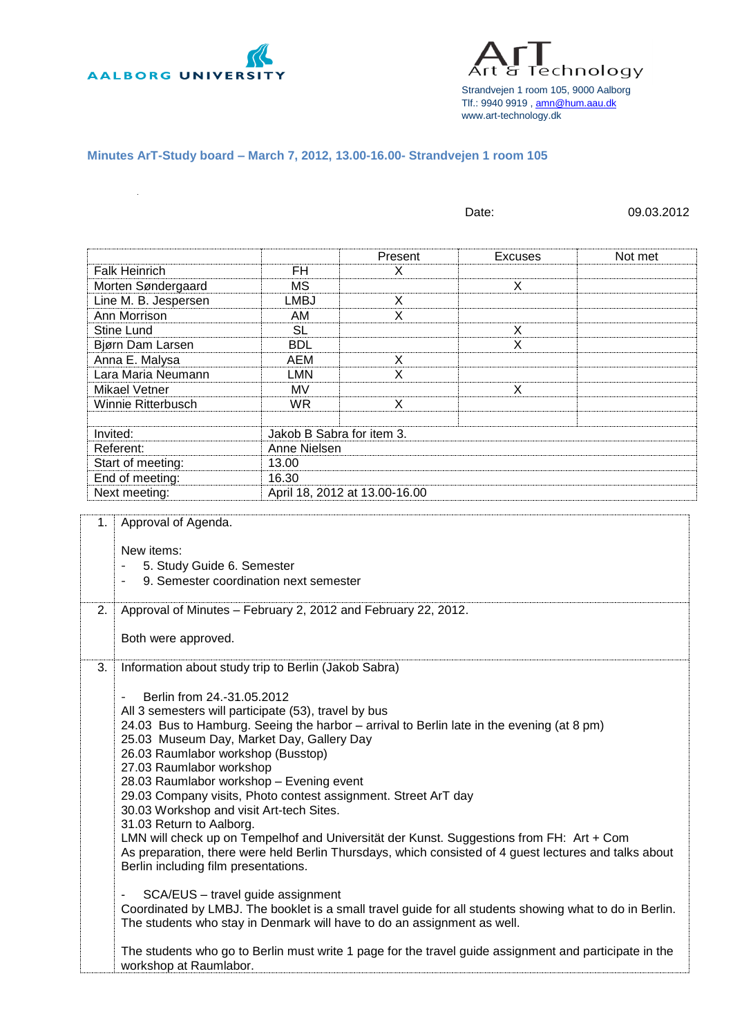

Technology Strandvejen 1 room 105, 9000 Aalborg Tlf.: 9940 9919 [, amn@hum.aau.dk](mailto:amn@hum.aau.dk) www.art-technology.dk

## **Minutes ArT-Study board – March 7, 2012, 13.00-16.00- Strandvejen 1 room 105**

|                                                                                                                                                                                                                                                                                                                                                                                                                                                                                                                                                                          |                                        |                               | Date:                                                                                                                                                                                                                                                                                                                                                                                                     | 09.03.2012 |
|--------------------------------------------------------------------------------------------------------------------------------------------------------------------------------------------------------------------------------------------------------------------------------------------------------------------------------------------------------------------------------------------------------------------------------------------------------------------------------------------------------------------------------------------------------------------------|----------------------------------------|-------------------------------|-----------------------------------------------------------------------------------------------------------------------------------------------------------------------------------------------------------------------------------------------------------------------------------------------------------------------------------------------------------------------------------------------------------|------------|
|                                                                                                                                                                                                                                                                                                                                                                                                                                                                                                                                                                          |                                        | Present                       | <b>Excuses</b>                                                                                                                                                                                                                                                                                                                                                                                            | Not met    |
| <b>Falk Heinrich</b>                                                                                                                                                                                                                                                                                                                                                                                                                                                                                                                                                     | FH                                     | X                             |                                                                                                                                                                                                                                                                                                                                                                                                           |            |
| Morten Søndergaard                                                                                                                                                                                                                                                                                                                                                                                                                                                                                                                                                       | <b>MS</b>                              |                               | X                                                                                                                                                                                                                                                                                                                                                                                                         |            |
| Line M. B. Jespersen                                                                                                                                                                                                                                                                                                                                                                                                                                                                                                                                                     | <b>LMBJ</b>                            | X                             |                                                                                                                                                                                                                                                                                                                                                                                                           |            |
| Ann Morrison                                                                                                                                                                                                                                                                                                                                                                                                                                                                                                                                                             | AM                                     | X                             |                                                                                                                                                                                                                                                                                                                                                                                                           |            |
| <b>Stine Lund</b>                                                                                                                                                                                                                                                                                                                                                                                                                                                                                                                                                        | <b>SL</b>                              |                               | X                                                                                                                                                                                                                                                                                                                                                                                                         |            |
| Bjørn Dam Larsen                                                                                                                                                                                                                                                                                                                                                                                                                                                                                                                                                         | <b>BDL</b>                             |                               | X                                                                                                                                                                                                                                                                                                                                                                                                         |            |
| Anna E. Malysa                                                                                                                                                                                                                                                                                                                                                                                                                                                                                                                                                           | <b>AEM</b>                             | X                             |                                                                                                                                                                                                                                                                                                                                                                                                           |            |
| Lara Maria Neumann                                                                                                                                                                                                                                                                                                                                                                                                                                                                                                                                                       | <b>LMN</b>                             | X                             |                                                                                                                                                                                                                                                                                                                                                                                                           |            |
| <b>Mikael Vetner</b>                                                                                                                                                                                                                                                                                                                                                                                                                                                                                                                                                     | MV                                     |                               | X                                                                                                                                                                                                                                                                                                                                                                                                         |            |
| Winnie Ritterbusch                                                                                                                                                                                                                                                                                                                                                                                                                                                                                                                                                       | <b>WR</b>                              | X                             |                                                                                                                                                                                                                                                                                                                                                                                                           |            |
| Invited:                                                                                                                                                                                                                                                                                                                                                                                                                                                                                                                                                                 | Jakob B Sabra for item 3.              |                               |                                                                                                                                                                                                                                                                                                                                                                                                           |            |
| Referent:                                                                                                                                                                                                                                                                                                                                                                                                                                                                                                                                                                | Anne Nielsen                           |                               |                                                                                                                                                                                                                                                                                                                                                                                                           |            |
| Start of meeting:                                                                                                                                                                                                                                                                                                                                                                                                                                                                                                                                                        | 13.00                                  |                               |                                                                                                                                                                                                                                                                                                                                                                                                           |            |
| End of meeting:                                                                                                                                                                                                                                                                                                                                                                                                                                                                                                                                                          | 16.30                                  |                               |                                                                                                                                                                                                                                                                                                                                                                                                           |            |
| Next meeting:                                                                                                                                                                                                                                                                                                                                                                                                                                                                                                                                                            |                                        | April 18, 2012 at 13.00-16.00 |                                                                                                                                                                                                                                                                                                                                                                                                           |            |
| Approval of Minutes - February 2, 2012 and February 22, 2012.<br>2.                                                                                                                                                                                                                                                                                                                                                                                                                                                                                                      | 9. Semester coordination next semester |                               |                                                                                                                                                                                                                                                                                                                                                                                                           |            |
| Both were approved.                                                                                                                                                                                                                                                                                                                                                                                                                                                                                                                                                      |                                        |                               |                                                                                                                                                                                                                                                                                                                                                                                                           |            |
| 3.<br>Information about study trip to Berlin (Jakob Sabra)<br>Berlin from 24.-31.05.2012<br>All 3 semesters will participate (53), travel by bus<br>25.03 Museum Day, Market Day, Gallery Day<br>26.03 Raumlabor workshop (Busstop)<br>27.03 Raumlabor workshop<br>28.03 Raumlabor workshop - Evening event<br>29.03 Company visits, Photo contest assignment. Street ArT day<br>30.03 Workshop and visit Art-tech Sites.<br>31.03 Return to Aalborg.<br>Berlin including film presentations.<br>The students who stay in Denmark will have to do an assignment as well. | SCA/EUS - travel guide assignment      |                               | 24.03 Bus to Hamburg. Seeing the harbor - arrival to Berlin late in the evening (at 8 pm)<br>LMN will check up on Tempelhof and Universität der Kunst. Suggestions from FH: Art + Com<br>As preparation, there were held Berlin Thursdays, which consisted of 4 guest lectures and talks about<br>Coordinated by LMBJ. The booklet is a small travel guide for all students showing what to do in Berlin. |            |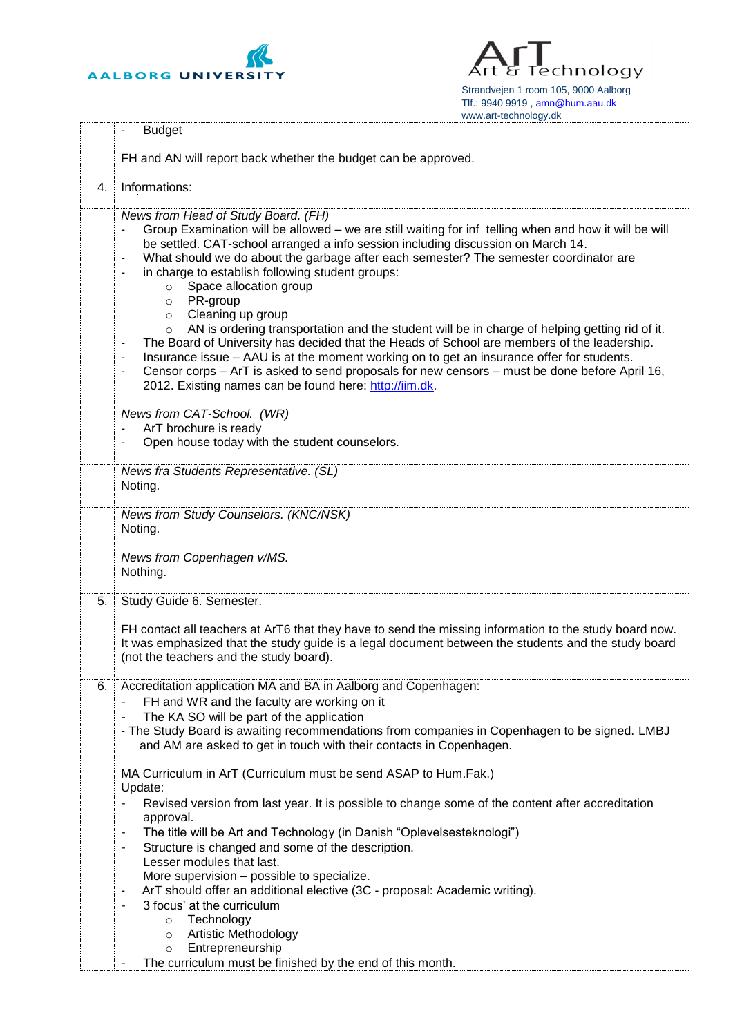

Technology Δг ਬ Strandvejen 1 room 105, 9000 Aalborg Tlf.: 9940 9919 [, amn@hum.aau.dk](mailto:amn@hum.aau.dk) www.art-technology.dk

|    | <b>Budget</b>                                                                                                                                                                                                                                                                                                                                                                                                                                                                                                                                                                                                                                                                                                    |
|----|------------------------------------------------------------------------------------------------------------------------------------------------------------------------------------------------------------------------------------------------------------------------------------------------------------------------------------------------------------------------------------------------------------------------------------------------------------------------------------------------------------------------------------------------------------------------------------------------------------------------------------------------------------------------------------------------------------------|
|    | FH and AN will report back whether the budget can be approved.                                                                                                                                                                                                                                                                                                                                                                                                                                                                                                                                                                                                                                                   |
| 4. | Informations:                                                                                                                                                                                                                                                                                                                                                                                                                                                                                                                                                                                                                                                                                                    |
|    | News from Head of Study Board. (FH)<br>Group Examination will be allowed – we are still waiting for inf telling when and how it will be will<br>be settled. CAT-school arranged a info session including discussion on March 14.<br>What should we do about the garbage after each semester? The semester coordinator are<br>$\overline{a}$<br>in charge to establish following student groups:<br>۰<br>Space allocation group<br>$\circ$<br>PR-group<br>$\circ$<br>Cleaning up group<br>$\circ$<br>AN is ordering transportation and the student will be in charge of helping getting rid of it.<br>$\circ$<br>The Board of University has decided that the Heads of School are members of the leadership.<br>٠ |
|    | Insurance issue - AAU is at the moment working on to get an insurance offer for students.<br>$\overline{\phantom{a}}$<br>Censor corps - ArT is asked to send proposals for new censors - must be done before April 16,<br>2012. Existing names can be found here: http://iim.dk.                                                                                                                                                                                                                                                                                                                                                                                                                                 |
|    | News from CAT-School. (WR)<br>ArT brochure is ready<br>Open house today with the student counselors.                                                                                                                                                                                                                                                                                                                                                                                                                                                                                                                                                                                                             |
|    | News fra Students Representative. (SL)<br>Noting.                                                                                                                                                                                                                                                                                                                                                                                                                                                                                                                                                                                                                                                                |
|    | News from Study Counselors. (KNC/NSK)<br>Noting.                                                                                                                                                                                                                                                                                                                                                                                                                                                                                                                                                                                                                                                                 |
|    | News from Copenhagen v/MS.<br>Nothing.                                                                                                                                                                                                                                                                                                                                                                                                                                                                                                                                                                                                                                                                           |
| 5. | Study Guide 6. Semester.                                                                                                                                                                                                                                                                                                                                                                                                                                                                                                                                                                                                                                                                                         |
|    | FH contact all teachers at ArT6 that they have to send the missing information to the study board now.<br>It was emphasized that the study guide is a legal document between the students and the study board<br>(not the teachers and the study board).                                                                                                                                                                                                                                                                                                                                                                                                                                                         |
| 6. | Accreditation application MA and BA in Aalborg and Copenhagen:                                                                                                                                                                                                                                                                                                                                                                                                                                                                                                                                                                                                                                                   |
|    | FH and WR and the faculty are working on it<br>The KA SO will be part of the application                                                                                                                                                                                                                                                                                                                                                                                                                                                                                                                                                                                                                         |
|    | - The Study Board is awaiting recommendations from companies in Copenhagen to be signed. LMBJ<br>and AM are asked to get in touch with their contacts in Copenhagen.                                                                                                                                                                                                                                                                                                                                                                                                                                                                                                                                             |
|    | MA Curriculum in ArT (Curriculum must be send ASAP to Hum.Fak.)<br>Update:                                                                                                                                                                                                                                                                                                                                                                                                                                                                                                                                                                                                                                       |
|    | Revised version from last year. It is possible to change some of the content after accreditation                                                                                                                                                                                                                                                                                                                                                                                                                                                                                                                                                                                                                 |
|    | approval.<br>The title will be Art and Technology (in Danish "Oplevelsesteknologi")<br>-                                                                                                                                                                                                                                                                                                                                                                                                                                                                                                                                                                                                                         |
|    | Structure is changed and some of the description.<br>٠<br>Lesser modules that last.                                                                                                                                                                                                                                                                                                                                                                                                                                                                                                                                                                                                                              |
|    | More supervision - possible to specialize.                                                                                                                                                                                                                                                                                                                                                                                                                                                                                                                                                                                                                                                                       |
|    | ArT should offer an additional elective (3C - proposal: Academic writing).<br>٠<br>3 focus' at the curriculum<br>٠                                                                                                                                                                                                                                                                                                                                                                                                                                                                                                                                                                                               |
|    | Technology<br>$\circ$                                                                                                                                                                                                                                                                                                                                                                                                                                                                                                                                                                                                                                                                                            |
|    | Artistic Methodology<br>$\circ$<br>Entrepreneurship<br>$\circ$                                                                                                                                                                                                                                                                                                                                                                                                                                                                                                                                                                                                                                                   |
|    | The curriculum must be finished by the end of this month.                                                                                                                                                                                                                                                                                                                                                                                                                                                                                                                                                                                                                                                        |